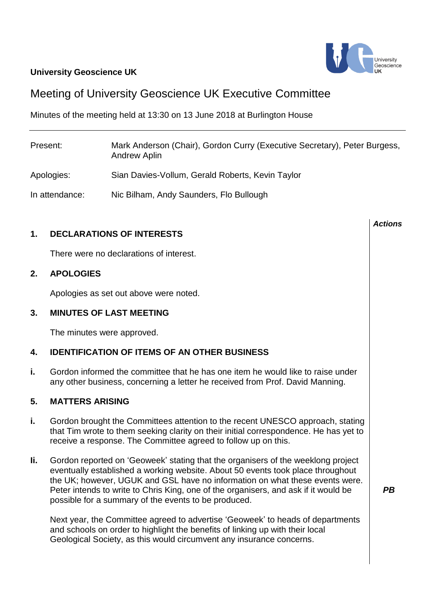# **University Geoscience UK**



# Meeting of University Geoscience UK Executive Committee

Minutes of the meeting held at 13:30 on 13 June 2018 at Burlington House

| Present:       | Mark Anderson (Chair), Gordon Curry (Executive Secretary), Peter Burgess,<br>Andrew Aplin |
|----------------|-------------------------------------------------------------------------------------------|
| Apologies:     | Sian Davies-Vollum, Gerald Roberts, Kevin Taylor                                          |
| In attendance: | Nic Bilham, Andy Saunders, Flo Bullough                                                   |

## **1. DECLARATIONS OF INTERESTS**

There were no declarations of interest.

## **2. APOLOGIES**

Apologies as set out above were noted.

## **3. MINUTES OF LAST MEETING**

The minutes were approved.

#### **4. IDENTIFICATION OF ITEMS OF AN OTHER BUSINESS**

**i.** Gordon informed the committee that he has one item he would like to raise under any other business, concerning a letter he received from Prof. David Manning.

#### **5. MATTERS ARISING**

- **i.** Gordon brought the Committees attention to the recent UNESCO approach, stating that Tim wrote to them seeking clarity on their initial correspondence. He has yet to receive a response. The Committee agreed to follow up on this.
- **Ii.** Gordon reported on 'Geoweek' stating that the organisers of the weeklong project eventually established a working website. About 50 events took place throughout the UK; however, UGUK and GSL have no information on what these events were. Peter intends to write to Chris King, one of the organisers, and ask if it would be possible for a summary of the events to be produced.

Next year, the Committee agreed to advertise 'Geoweek' to heads of departments and schools on order to highlight the benefits of linking up with their local Geological Society, as this would circumvent any insurance concerns.

*Actions*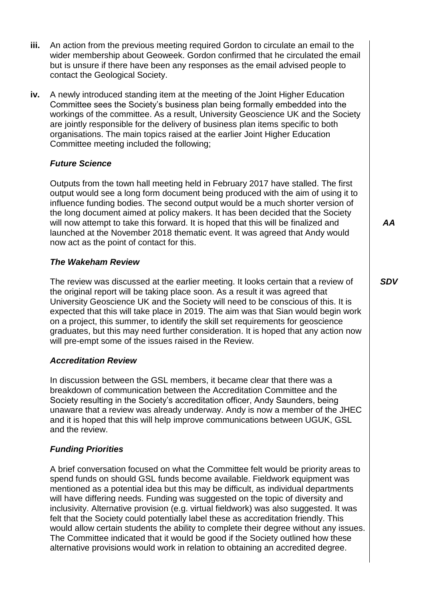- **iii.** An action from the previous meeting required Gordon to circulate an email to the wider membership about Geoweek. Gordon confirmed that he circulated the email but is unsure if there have been any responses as the email advised people to contact the Geological Society.
- **iv.** A newly introduced standing item at the meeting of the Joint Higher Education Committee sees the Society's business plan being formally embedded into the workings of the committee. As a result, University Geoscience UK and the Society are jointly responsible for the delivery of business plan items specific to both organisations. The main topics raised at the earlier Joint Higher Education Committee meeting included the following;

## *Future Science*

Outputs from the town hall meeting held in February 2017 have stalled. The first output would see a long form document being produced with the aim of using it to influence funding bodies. The second output would be a much shorter version of the long document aimed at policy makers. It has been decided that the Society will now attempt to take this forward. It is hoped that this will be finalized and launched at the November 2018 thematic event. It was agreed that Andy would now act as the point of contact for this.

## *The Wakeham Review*

The review was discussed at the earlier meeting. It looks certain that a review of the original report will be taking place soon. As a result it was agreed that University Geoscience UK and the Society will need to be conscious of this. It is expected that this will take place in 2019. The aim was that Sian would begin work on a project, this summer, to identify the skill set requirements for geoscience graduates, but this may need further consideration. It is hoped that any action now will pre-empt some of the issues raised in the Review.

## *Accreditation Review*

In discussion between the GSL members, it became clear that there was a breakdown of communication between the Accreditation Committee and the Society resulting in the Society's accreditation officer, Andy Saunders, being unaware that a review was already underway. Andy is now a member of the JHEC and it is hoped that this will help improve communications between UGUK, GSL and the review.

## *Funding Priorities*

A brief conversation focused on what the Committee felt would be priority areas to spend funds on should GSL funds become available. Fieldwork equipment was mentioned as a potential idea but this may be difficult, as individual departments will have differing needs. Funding was suggested on the topic of diversity and inclusivity. Alternative provision (e.g. virtual fieldwork) was also suggested. It was felt that the Society could potentially label these as accreditation friendly. This would allow certain students the ability to complete their degree without any issues. The Committee indicated that it would be good if the Society outlined how these alternative provisions would work in relation to obtaining an accredited degree.

*AA*

## *SDV*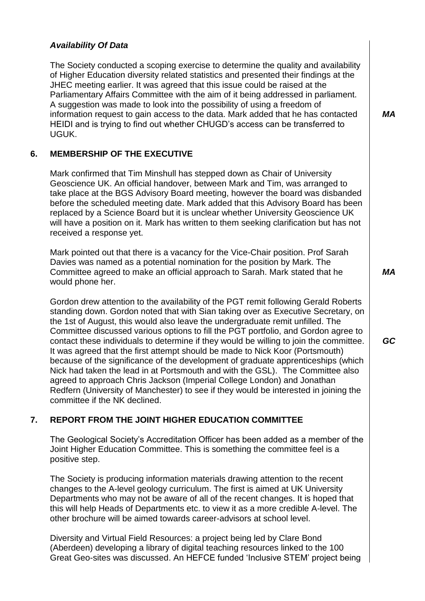## *Availability Of Data*

The Society conducted a scoping exercise to determine the quality and availability of Higher Education diversity related statistics and presented their findings at the JHEC meeting earlier. It was agreed that this issue could be raised at the Parliamentary Affairs Committee with the aim of it being addressed in parliament. A suggestion was made to look into the possibility of using a freedom of information request to gain access to the data. Mark added that he has contacted HEIDI and is trying to find out whether CHUGD's access can be transferred to UGUK.

## **6. MEMBERSHIP OF THE EXECUTIVE**

Mark confirmed that Tim Minshull has stepped down as Chair of University Geoscience UK. An official handover, between Mark and Tim, was arranged to take place at the BGS Advisory Board meeting, however the board was disbanded before the scheduled meeting date. Mark added that this Advisory Board has been replaced by a Science Board but it is unclear whether University Geoscience UK will have a position on it. Mark has written to them seeking clarification but has not received a response yet.

Mark pointed out that there is a vacancy for the Vice-Chair position. Prof Sarah Davies was named as a potential nomination for the position by Mark. The Committee agreed to make an official approach to Sarah. Mark stated that he would phone her.

Gordon drew attention to the availability of the PGT remit following Gerald Roberts standing down. Gordon noted that with Sian taking over as Executive Secretary, on the 1st of August, this would also leave the undergraduate remit unfilled. The Committee discussed various options to fill the PGT portfolio, and Gordon agree to contact these individuals to determine if they would be willing to join the committee. It was agreed that the first attempt should be made to Nick Koor (Portsmouth) because of the significance of the development of graduate apprenticeships (which Nick had taken the lead in at Portsmouth and with the GSL). The Committee also agreed to approach Chris Jackson (Imperial College London) and Jonathan Redfern (University of Manchester) to see if they would be interested in joining the committee if the NK declined.

## **7. REPORT FROM THE JOINT HIGHER EDUCATION COMMITTEE**

The Geological Society's Accreditation Officer has been added as a member of the Joint Higher Education Committee. This is something the committee feel is a positive step.

The Society is producing information materials drawing attention to the recent changes to the A-level geology curriculum. The first is aimed at UK University Departments who may not be aware of all of the recent changes. It is hoped that this will help Heads of Departments etc. to view it as a more credible A-level. The other brochure will be aimed towards career-advisors at school level.

Diversity and Virtual Field Resources: a project being led by Clare Bond (Aberdeen) developing a library of digital teaching resources linked to the 100 Great Geo-sites was discussed. An HEFCE funded 'Inclusive STEM' project being *MA*

*MA*

*GC*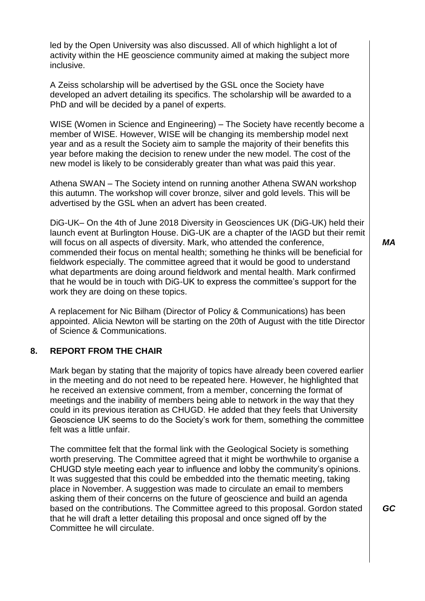led by the Open University was also discussed. All of which highlight a lot of activity within the HE geoscience community aimed at making the subject more inclusive.

A Zeiss scholarship will be advertised by the GSL once the Society have developed an advert detailing its specifics. The scholarship will be awarded to a PhD and will be decided by a panel of experts.

WISE (Women in Science and Engineering) – The Society have recently become a member of WISE. However, WISE will be changing its membership model next year and as a result the Society aim to sample the majority of their benefits this year before making the decision to renew under the new model. The cost of the new model is likely to be considerably greater than what was paid this year.

Athena SWAN – The Society intend on running another Athena SWAN workshop this autumn. The workshop will cover bronze, silver and gold levels. This will be advertised by the GSL when an advert has been created.

DiG-UK– On the 4th of June 2018 Diversity in Geosciences UK (DiG-UK) held their launch event at Burlington House. DiG-UK are a chapter of the IAGD but their remit will focus on all aspects of diversity. Mark, who attended the conference, commended their focus on mental health; something he thinks will be beneficial for fieldwork especially. The committee agreed that it would be good to understand what departments are doing around fieldwork and mental health. Mark confirmed that he would be in touch with DiG-UK to express the committee's support for the work they are doing on these topics.

A replacement for Nic Bilham (Director of Policy & Communications) has been appointed. Alicia Newton will be starting on the 20th of August with the title Director of Science & Communications.

#### **8. REPORT FROM THE CHAIR**

Mark began by stating that the majority of topics have already been covered earlier in the meeting and do not need to be repeated here. However, he highlighted that he received an extensive comment, from a member, concerning the format of meetings and the inability of members being able to network in the way that they could in its previous iteration as CHUGD. He added that they feels that University Geoscience UK seems to do the Society's work for them, something the committee felt was a little unfair.

The committee felt that the formal link with the Geological Society is something worth preserving. The Committee agreed that it might be worthwhile to organise a CHUGD style meeting each year to influence and lobby the community's opinions. It was suggested that this could be embedded into the thematic meeting, taking place in November. A suggestion was made to circulate an email to members asking them of their concerns on the future of geoscience and build an agenda based on the contributions. The Committee agreed to this proposal. Gordon stated that he will draft a letter detailing this proposal and once signed off by the Committee he will circulate.

*MA*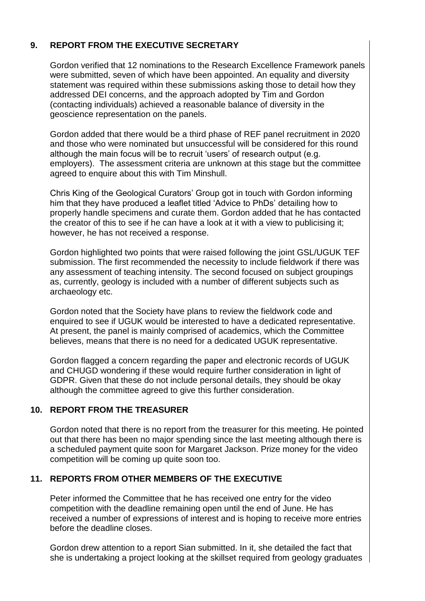# **9. REPORT FROM THE EXECUTIVE SECRETARY**

Gordon verified that 12 nominations to the Research Excellence Framework panels were submitted, seven of which have been appointed. An equality and diversity statement was required within these submissions asking those to detail how they addressed DEI concerns, and the approach adopted by Tim and Gordon (contacting individuals) achieved a reasonable balance of diversity in the geoscience representation on the panels.

Gordon added that there would be a third phase of REF panel recruitment in 2020 and those who were nominated but unsuccessful will be considered for this round although the main focus will be to recruit 'users' of research output (e.g. employers). The assessment criteria are unknown at this stage but the committee agreed to enquire about this with Tim Minshull.

Chris King of the Geological Curators' Group got in touch with Gordon informing him that they have produced a leaflet titled 'Advice to PhDs' detailing how to properly handle specimens and curate them. Gordon added that he has contacted the creator of this to see if he can have a look at it with a view to publicising it; however, he has not received a response.

Gordon highlighted two points that were raised following the joint GSL/UGUK TEF submission. The first recommended the necessity to include fieldwork if there was any assessment of teaching intensity. The second focused on subject groupings as, currently, geology is included with a number of different subjects such as archaeology etc.

Gordon noted that the Society have plans to review the fieldwork code and enquired to see if UGUK would be interested to have a dedicated representative. At present, the panel is mainly comprised of academics, which the Committee believes, means that there is no need for a dedicated UGUK representative.

Gordon flagged a concern regarding the paper and electronic records of UGUK and CHUGD wondering if these would require further consideration in light of GDPR. Given that these do not include personal details, they should be okay although the committee agreed to give this further consideration.

## **10. REPORT FROM THE TREASURER**

Gordon noted that there is no report from the treasurer for this meeting. He pointed out that there has been no major spending since the last meeting although there is a scheduled payment quite soon for Margaret Jackson. Prize money for the video competition will be coming up quite soon too.

## **11. REPORTS FROM OTHER MEMBERS OF THE EXECUTIVE**

Peter informed the Committee that he has received one entry for the video competition with the deadline remaining open until the end of June. He has received a number of expressions of interest and is hoping to receive more entries before the deadline closes.

Gordon drew attention to a report Sian submitted. In it, she detailed the fact that she is undertaking a project looking at the skillset required from geology graduates